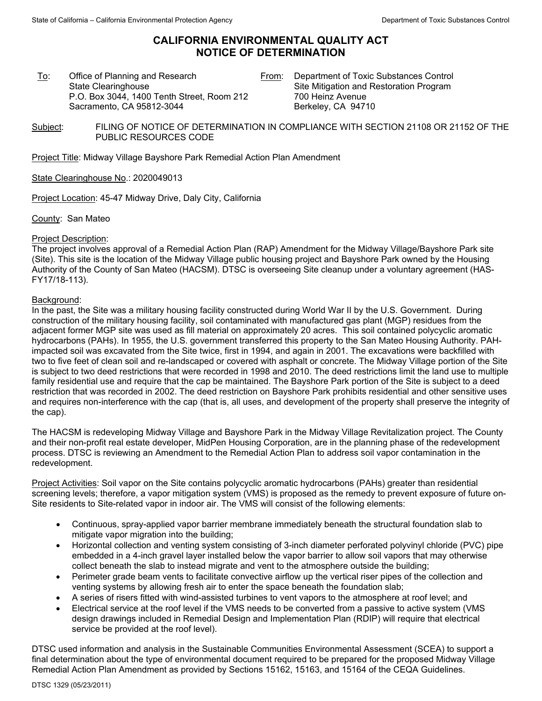## **CALIFORNIA ENVIRONMENTAL QUALITY ACT NOTICE OF DETERMINATION**

To: Office of Planning and Research State Clearinghouse P.O. Box 3044, 1400 Tenth Street, Room 212 Sacramento, CA 95812-3044

From: Department of Toxic Substances Control Site Mitigation and Restoration Program 700 Heinz Avenue Berkeley, CA 94710

Subject: FILING OF NOTICE OF DETERMINATION IN COMPLIANCE WITH SECTION 21108 OR 21152 OF THE PUBLIC RESOURCES CODE

Project Title: Midway Village Bayshore Park Remedial Action Plan Amendment

State Clearinghouse No.: 2020049013

Project Location: 45-47 Midway Drive, Daly City, California

County: San Mateo

## Project Description:

The project involves approval of a Remedial Action Plan (RAP) Amendment for the Midway Village/Bayshore Park site (Site). This site is the location of the Midway Village public housing project and Bayshore Park owned by the Housing Authority of the County of San Mateo (HACSM). DTSC is overseeing Site cleanup under a voluntary agreement (HAS-FY17/18-113).

## Background:

In the past, the Site was a military housing facility constructed during World War II by the U.S. Government. During construction of the military housing facility, soil contaminated with manufactured gas plant (MGP) residues from the adjacent former MGP site was used as fill material on approximately 20 acres. This soil contained polycyclic aromatic hydrocarbons (PAHs). In 1955, the U.S. government transferred this property to the San Mateo Housing Authority. PAHimpacted soil was excavated from the Site twice, first in 1994, and again in 2001. The excavations were backfilled with two to five feet of clean soil and re-landscaped or covered with asphalt or concrete. The Midway Village portion of the Site is subject to two deed restrictions that were recorded in 1998 and 2010. The deed restrictions limit the land use to multiple family residential use and require that the cap be maintained. The Bayshore Park portion of the Site is subject to a deed restriction that was recorded in 2002. The deed restriction on Bayshore Park prohibits residential and other sensitive uses and requires non-interference with the cap (that is, all uses, and development of the property shall preserve the integrity of the cap).

The HACSM is redeveloping Midway Village and Bayshore Park in the Midway Village Revitalization project. The County and their non-profit real estate developer, MidPen Housing Corporation, are in the planning phase of the redevelopment process. DTSC is reviewing an Amendment to the Remedial Action Plan to address soil vapor contamination in the redevelopment.

Project Activities: Soil vapor on the Site contains polycyclic aromatic hydrocarbons (PAHs) greater than residential screening levels; therefore, a vapor mitigation system (VMS) is proposed as the remedy to prevent exposure of future on-Site residents to Site-related vapor in indoor air. The VMS will consist of the following elements:

- Continuous, spray-applied vapor barrier membrane immediately beneath the structural foundation slab to mitigate vapor migration into the building;
- Horizontal collection and venting system consisting of 3-inch diameter perforated polyvinyl chloride (PVC) pipe embedded in a 4-inch gravel layer installed below the vapor barrier to allow soil vapors that may otherwise collect beneath the slab to instead migrate and vent to the atmosphere outside the building;
- Perimeter grade beam vents to facilitate convective airflow up the vertical riser pipes of the collection and venting systems by allowing fresh air to enter the space beneath the foundation slab;
- A series of risers fitted with wind-assisted turbines to vent vapors to the atmosphere at roof level; and
- Electrical service at the roof level if the VMS needs to be converted from a passive to active system (VMS design drawings included in Remedial Design and Implementation Plan (RDIP) will require that electrical service be provided at the roof level).

DTSC used information and analysis in the Sustainable Communities Environmental Assessment (SCEA) to support a final determination about the type of environmental document required to be prepared for the proposed Midway Village Remedial Action Plan Amendment as provided by Sections 15162, 15163, and 15164 of the CEQA Guidelines.